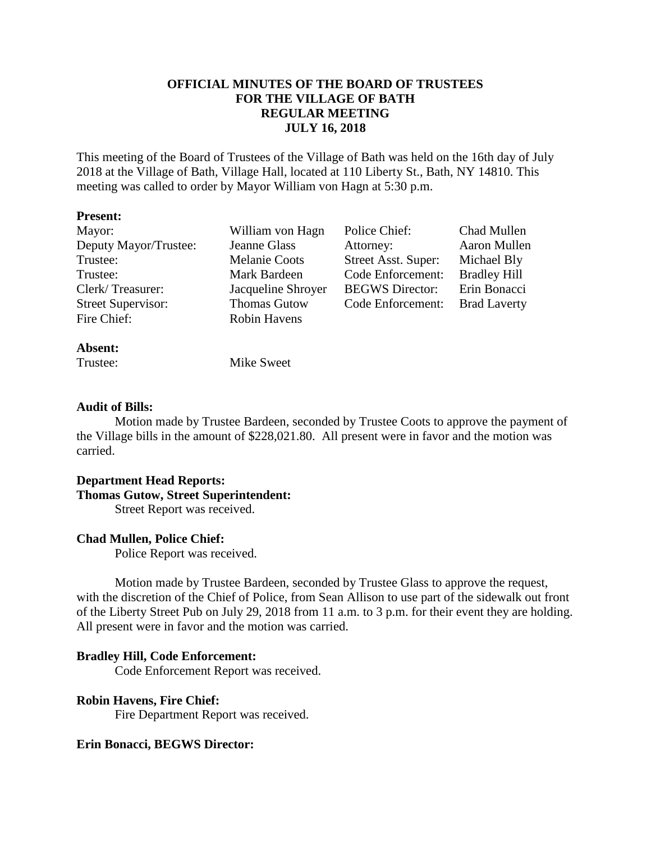# **OFFICIAL MINUTES OF THE BOARD OF TRUSTEES FOR THE VILLAGE OF BATH REGULAR MEETING JULY 16, 2018**

This meeting of the Board of Trustees of the Village of Bath was held on the 16th day of July 2018 at the Village of Bath, Village Hall, located at 110 Liberty St., Bath, NY 14810. This meeting was called to order by Mayor William von Hagn at 5:30 p.m.

## **Present:**

| Mayor:                    | William von Hagn     | Police Chief:          | Chad Mullen         |
|---------------------------|----------------------|------------------------|---------------------|
| Deputy Mayor/Trustee:     | Jeanne Glass         | Attorney:              | Aaron Mullen        |
| Trustee:                  | <b>Melanie Coots</b> | Street Asst. Super:    | Michael Bly         |
| Trustee:                  | Mark Bardeen         | Code Enforcement:      | <b>Bradley Hill</b> |
| Clerk/Treasurer:          | Jacqueline Shroyer   | <b>BEGWS</b> Director: | Erin Bonacci        |
| <b>Street Supervisor:</b> | <b>Thomas Gutow</b>  | Code Enforcement:      | <b>Brad Laverty</b> |
| Fire Chief:               | <b>Robin Havens</b>  |                        |                     |
|                           |                      |                        |                     |

## **Absent:**

Trustee: Mike Sweet

## **Audit of Bills:**

Motion made by Trustee Bardeen, seconded by Trustee Coots to approve the payment of the Village bills in the amount of \$228,021.80. All present were in favor and the motion was carried.

## **Department Head Reports: Thomas Gutow, Street Superintendent:**

Street Report was received.

# **Chad Mullen, Police Chief:**

Police Report was received.

Motion made by Trustee Bardeen, seconded by Trustee Glass to approve the request, with the discretion of the Chief of Police, from Sean Allison to use part of the sidewalk out front of the Liberty Street Pub on July 29, 2018 from 11 a.m. to 3 p.m. for their event they are holding. All present were in favor and the motion was carried.

# **Bradley Hill, Code Enforcement:**

Code Enforcement Report was received.

# **Robin Havens, Fire Chief:**

Fire Department Report was received.

# **Erin Bonacci, BEGWS Director:**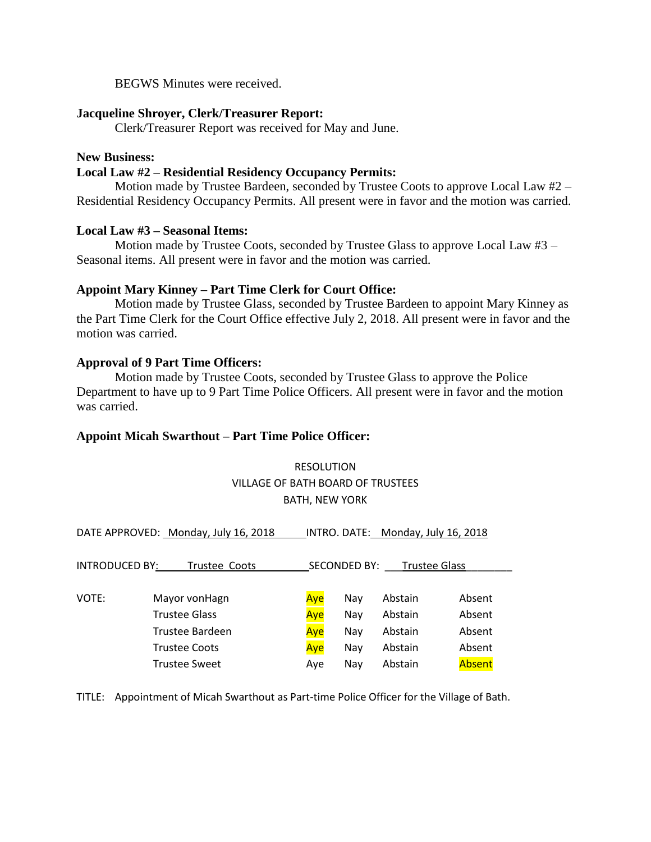BEGWS Minutes were received.

### **Jacqueline Shroyer, Clerk/Treasurer Report:**

Clerk/Treasurer Report was received for May and June.

## **New Business:**

### **Local Law #2 – Residential Residency Occupancy Permits:**

Motion made by Trustee Bardeen, seconded by Trustee Coots to approve Local Law #2 – Residential Residency Occupancy Permits. All present were in favor and the motion was carried.

## **Local Law #3 – Seasonal Items:**

Motion made by Trustee Coots, seconded by Trustee Glass to approve Local Law #3 – Seasonal items. All present were in favor and the motion was carried.

## **Appoint Mary Kinney – Part Time Clerk for Court Office:**

Motion made by Trustee Glass, seconded by Trustee Bardeen to appoint Mary Kinney as the Part Time Clerk for the Court Office effective July 2, 2018. All present were in favor and the motion was carried.

# **Approval of 9 Part Time Officers:**

Motion made by Trustee Coots, seconded by Trustee Glass to approve the Police Department to have up to 9 Part Time Police Officers. All present were in favor and the motion was carried.

#### **Appoint Micah Swarthout – Part Time Police Officer:**

# RESOLUTION VILLAGE OF BATH BOARD OF TRUSTEES BATH, NEW YORK

DATE APPROVED: Monday, July 16, 2018 INTRO. DATE: Monday, July 16, 2018

| <b>INTRODUCED BY:</b><br>Trustee Coots |                      | <b>Trustee Glass</b><br><b>SECONDED BY:</b> |     |         |        |  |
|----------------------------------------|----------------------|---------------------------------------------|-----|---------|--------|--|
|                                        |                      |                                             |     |         |        |  |
| VOTE:                                  | Mayor von Hagn       | Aye                                         | Nav | Abstain | Absent |  |
|                                        | <b>Trustee Glass</b> | Aye                                         | Nay | Abstain | Absent |  |
|                                        | Trustee Bardeen      | Aye                                         | Nav | Abstain | Absent |  |
|                                        | <b>Trustee Coots</b> | Aye                                         | Nay | Abstain | Absent |  |
|                                        | <b>Trustee Sweet</b> | Ave                                         | Nav | Abstain | Absent |  |

TITLE: Appointment of Micah Swarthout as Part-time Police Officer for the Village of Bath.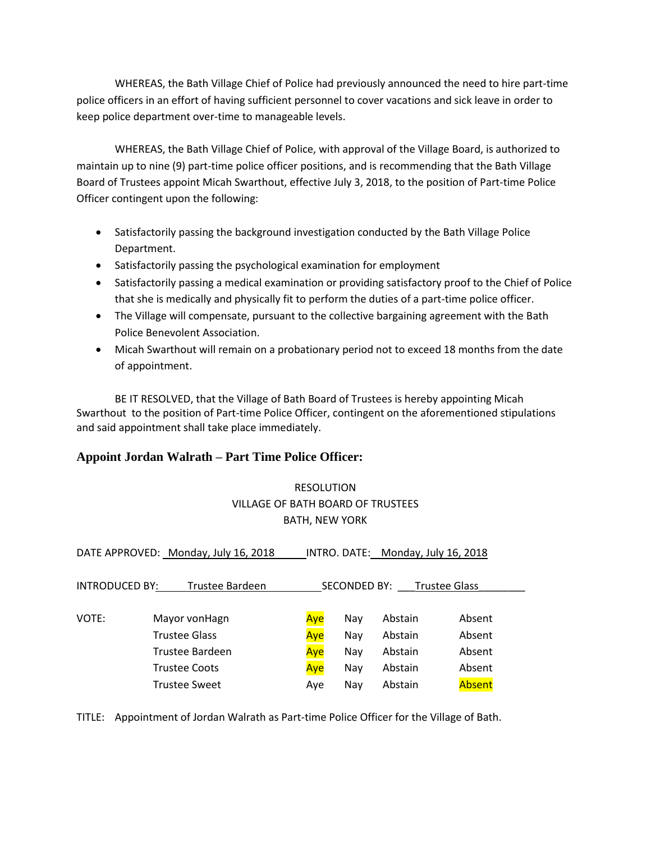WHEREAS, the Bath Village Chief of Police had previously announced the need to hire part-time police officers in an effort of having sufficient personnel to cover vacations and sick leave in order to keep police department over-time to manageable levels.

WHEREAS, the Bath Village Chief of Police, with approval of the Village Board, is authorized to maintain up to nine (9) part-time police officer positions, and is recommending that the Bath Village Board of Trustees appoint Micah Swarthout, effective July 3, 2018, to the position of Part-time Police Officer contingent upon the following:

- Satisfactorily passing the background investigation conducted by the Bath Village Police Department.
- Satisfactorily passing the psychological examination for employment
- Satisfactorily passing a medical examination or providing satisfactory proof to the Chief of Police that she is medically and physically fit to perform the duties of a part-time police officer.
- The Village will compensate, pursuant to the collective bargaining agreement with the Bath Police Benevolent Association.
- Micah Swarthout will remain on a probationary period not to exceed 18 months from the date of appointment.

BE IT RESOLVED, that the Village of Bath Board of Trustees is hereby appointing Micah Swarthout to the position of Part-time Police Officer, contingent on the aforementioned stipulations and said appointment shall take place immediately.

# **Appoint Jordan Walrath – Part Time Police Officer:**

# RESOLUTION VILLAGE OF BATH BOARD OF TRUSTEES BATH, NEW YORK

| DATE APPROVED: Monday, July 16, 2018                                             |                      |     | INTRO. DATE: Monday, July 16, 2018 |         |        |  |  |  |
|----------------------------------------------------------------------------------|----------------------|-----|------------------------------------|---------|--------|--|--|--|
| INTRODUCED BY:<br>Trustee Bardeen<br><b>SECONDED BY:</b><br><b>Trustee Glass</b> |                      |     |                                    |         |        |  |  |  |
| VOTE:                                                                            | Mayor vonHagn        | Aye | Nav                                | Abstain | Absent |  |  |  |
| <b>Trustee Glass</b><br>Trustee Bardeen                                          |                      | Aye | Nay                                | Abstain | Absent |  |  |  |
|                                                                                  |                      | Aye | Nay                                | Abstain | Absent |  |  |  |
|                                                                                  | <b>Trustee Coots</b> | Aye | Nay                                | Abstain | Absent |  |  |  |
|                                                                                  | <b>Trustee Sweet</b> | Ave | Nay                                | Abstain | Absent |  |  |  |

TITLE: Appointment of Jordan Walrath as Part-time Police Officer for the Village of Bath.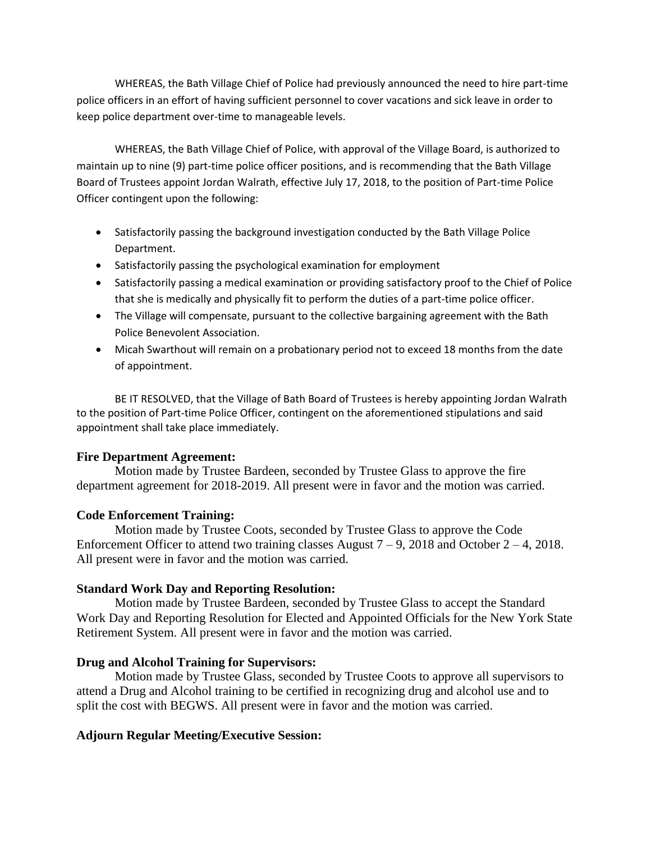WHEREAS, the Bath Village Chief of Police had previously announced the need to hire part-time police officers in an effort of having sufficient personnel to cover vacations and sick leave in order to keep police department over-time to manageable levels.

WHEREAS, the Bath Village Chief of Police, with approval of the Village Board, is authorized to maintain up to nine (9) part-time police officer positions, and is recommending that the Bath Village Board of Trustees appoint Jordan Walrath, effective July 17, 2018, to the position of Part-time Police Officer contingent upon the following:

- Satisfactorily passing the background investigation conducted by the Bath Village Police Department.
- Satisfactorily passing the psychological examination for employment
- Satisfactorily passing a medical examination or providing satisfactory proof to the Chief of Police that she is medically and physically fit to perform the duties of a part-time police officer.
- The Village will compensate, pursuant to the collective bargaining agreement with the Bath Police Benevolent Association.
- Micah Swarthout will remain on a probationary period not to exceed 18 months from the date of appointment.

BE IT RESOLVED, that the Village of Bath Board of Trustees is hereby appointing Jordan Walrath to the position of Part-time Police Officer, contingent on the aforementioned stipulations and said appointment shall take place immediately.

# **Fire Department Agreement:**

Motion made by Trustee Bardeen, seconded by Trustee Glass to approve the fire department agreement for 2018-2019. All present were in favor and the motion was carried.

# **Code Enforcement Training:**

Motion made by Trustee Coots, seconded by Trustee Glass to approve the Code Enforcement Officer to attend two training classes August  $7 - 9$ , 2018 and October  $2 - 4$ , 2018. All present were in favor and the motion was carried.

# **Standard Work Day and Reporting Resolution:**

Motion made by Trustee Bardeen, seconded by Trustee Glass to accept the Standard Work Day and Reporting Resolution for Elected and Appointed Officials for the New York State Retirement System. All present were in favor and the motion was carried.

# **Drug and Alcohol Training for Supervisors:**

Motion made by Trustee Glass, seconded by Trustee Coots to approve all supervisors to attend a Drug and Alcohol training to be certified in recognizing drug and alcohol use and to split the cost with BEGWS. All present were in favor and the motion was carried.

# **Adjourn Regular Meeting/Executive Session:**